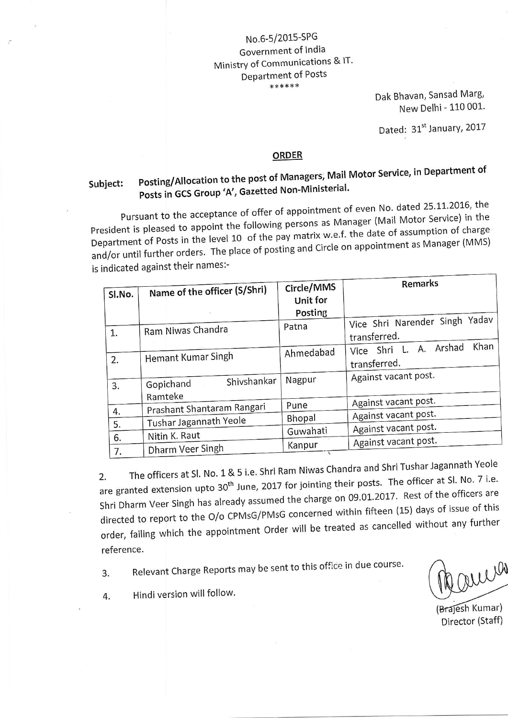## No.6-5/2015-SPG Government of India Ministrv of communications & lT' Department of Posts \*\*\*\*\*\*

Dak Bhavan, Sansad Marg, New Delhi - 110 001.

Dated: 31st January, 2017

## ORDER

## Subject: Posting/Allocation to the post of Managers; Mail Motor Service, in Department of Posts in GCS Group 'A', Gazetted Non-Ministerial.

Pursuant to the acceptance of offer of appointment of even No. dated 25.11.2016, the Pursuant to the acceptance of offer or appointment of even for some<br>President is pleased to appoint the following persons as Manager (Mail Motor Service) in the Department of Posts in the level 10 of the pay matrix w.e.f. the date of assumption of charge Department of Posts in the level 10 of the pay mathem.<br>and/or until further orders. The place of posting and Circle on appointment as Manager (MMS) is indicated against their names:-

| Sl.No.   | Name of the officer (S/Shri)        | Circle/MMS<br>Unit for<br>Posting | Remarks                                              |
|----------|-------------------------------------|-----------------------------------|------------------------------------------------------|
|          |                                     | Patna                             | Vice Shri Narender Singh Yadav                       |
| 1.       | Ram Niwas Chandra                   |                                   | transferred.                                         |
| 2.       | Hemant Kumar Singh                  | Ahmedabad                         | Khan<br>Arshad<br>А.<br>Vice Shri L.<br>transferred. |
| 3.       | Shivshankar<br>Gopichand<br>Ramteke | Nagpur                            | Against vacant post.                                 |
|          | Prashant Shantaram Rangari          | Pune                              | Against vacant post.                                 |
| 4.       | Tushar Jagannath Yeole              | Bhopal                            | Against vacant post.                                 |
| 5.       |                                     | Guwahati                          | Against vacant post.                                 |
| 6.<br>7. | Nitin K. Raut<br>Dharm Veer Singh   | Kanpur                            | Against vacant post.                                 |
|          |                                     |                                   |                                                      |

The officers at Sl. No. 1 & 5 i.e. Shri Ram Niwas Chandra and Shri Tushar Jagannath Yeole are granted extension upto 30<sup>th</sup> June, 2017 for jointing their posts. The officer at Sl. No. 7 i.e. Shri Dharm Veer Singh has already assumed the charge on 09.01.2017. Rest of the officers are directed to report to the O/o CPMsG/PMsG concerned within fifteen (15) days of issue of this order, failing which the appointment Order will be treated as cancelled without any further reference.

3. Relevant Charge Reports may be sent to this office in due course.

were

(Brajesh Kumar) Director (Staff)

4. Hindi version will follow'